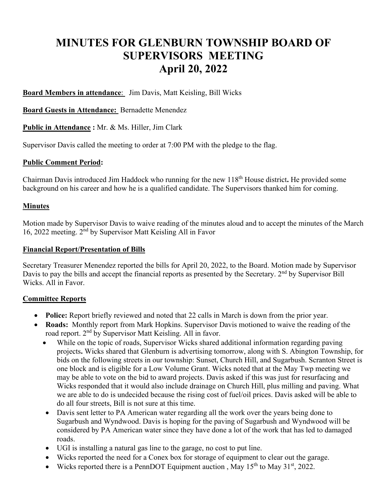# **MINUTES FOR GLENBURN TOWNSHIP BOARD OF SUPERVISORS MEETING April 20, 2022**

**Board Members in attendance**: Jim Davis, Matt Keisling, Bill Wicks

**Board Guests in Attendance:** Bernadette Menendez

**Public in Attendance :** Mr. & Ms. Hiller, Jim Clark

Supervisor Davis called the meeting to order at 7:00 PM with the pledge to the flag.

## **Public Comment Period:**

Chairman Davis introduced Jim Haddock who running for the new 118th House district**.** He provided some background on his career and how he is a qualified candidate. The Supervisors thanked him for coming.

## **Minutes**

Motion made by Supervisor Davis to waive reading of the minutes aloud and to accept the minutes of the March 16, 2022 meeting. 2nd by Supervisor Matt Keisling All in Favor

## **Financial Report/Presentation of Bills**

Secretary Treasurer Menendez reported the bills for April 20, 2022, to the Board. Motion made by Supervisor Davis to pay the bills and accept the financial reports as presented by the Secretary. 2<sup>nd</sup> by Supervisor Bill Wicks. All in Favor.

# **Committee Reports**

- **Police:** Report briefly reviewed and noted that 22 calls in March is down from the prior year.
- **Roads:** Monthly report from Mark Hopkins. Supervisor Davis motioned to waive the reading of the road report. 2nd by Supervisor Matt Keisling. All in favor.
	- While on the topic of roads, Supervisor Wicks shared additional information regarding paving projects**.** Wicks shared that Glenburn is advertising tomorrow, along with S. Abington Township, for bids on the following streets in our township: Sunset, Church Hill, and Sugarbush. Scranton Street is one block and is eligible for a Low Volume Grant. Wicks noted that at the May Twp meeting we may be able to vote on the bid to award projects. Davis asked if this was just for resurfacing and Wicks responded that it would also include drainage on Church Hill, plus milling and paving. What we are able to do is undecided because the rising cost of fuel/oil prices. Davis asked will be able to do all four streets, Bill is not sure at this time.
	- Davis sent letter to PA American water regarding all the work over the years being done to Sugarbush and Wyndwood. Davis is hoping for the paving of Sugarbush and Wyndwood will be considered by PA American water since they have done a lot of the work that has led to damaged roads.
	- UGI is installing a natural gas line to the garage, no cost to put line.
	- Wicks reported the need for a Conex box for storage of equipment to clear out the garage.
	- Wicks reported there is a PennDOT Equipment auction, May  $15^{th}$  to May  $31^{st}$ , 2022.